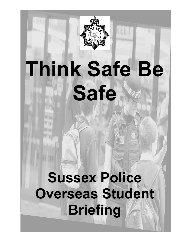

# **Think Safe Be Safe**

## **Sussex Police Overseas Student Briefing**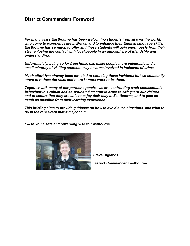### **District Commanders Foreword**

*For many years Eastbourne has been welcoming students from all over the world, who come to experience life in Britain and to enhance their English language skills. Eastbourne has so much to offer and these students will gain enormously from their stay, enjoying the contact with local people in an atmosphere of friendship and understanding.*

*Unfortunately, being so far from home can make people more vulnerable and a small minority of visiting students may become involved in incidents of crime.*

*Much effort has already been directed to reducing these incidents but we constantly strive to reduce the risks and there is more work to be done.*

*Together with many of our partner agencies we are confronting such unacceptable behaviour in a robust and co-ordinated manner in order to safeguard our visitors and to ensure that they are able to enjoy their stay in Eastbourne, and to gain as much as possible from their learning experience.*

*This briefing aims to provide guidance on how to avoid such situations, and what to do in the rare event that it may occur*

*I wish you a safe and rewarding visit to Eastbourne* 



**Steve Biglands**

**District Commander Eastbourne**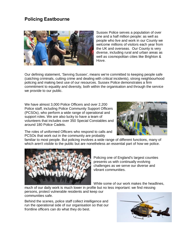## **Policing Eastbourne**



Sussex Police serves a population of over one and a half million people: as well as people who live and work in our County we welcome millions of visitors each year from the UK and overseas. Our County is very diverse, including rural and urban areas as well as cosmopolitan cities like Brighton & Hove.

Our defining statement, 'Serving Sussex', means we're committed to keeping people safe (catching criminals, cutting crime and dealing with critical incidents), strong neighbourhood policing and making best use of our resources. Sussex Police demonstrates a firm commitment to equality and diversity, both within the organisation and through the service we provide to our public.

We have almost 3,000 Police Officers and over 2,200 Police staff, including Police Community Support Officers (PCSOs), who perform a wide range of operational and support roles. We are also lucky to have a team of volunteers that includes over 350 Special Constables and around 180 Police Cadets.



The roles of uniformed Officers who respond to calls and PCSOs that work out in the community are probably

familiar to most people. But policing involves a wide range of different functions, many of which aren't visible to the public but are nonetheless an essential part of how we police.



Policing one of England's largest counties presents us with continually evolving challenges as we serve our diverse and vibrant communities.

While some of our work makes the headlines,

much of our daily work is much lower in profile but no less important: we find missing persons, protect vulnerable residents and keep our communities safe.

Behind the scenes, police staff collect intelligence and run the operational side of our organisation so that our frontline officers can do what they do best.

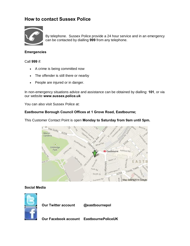## **How to contact Sussex Police**



By telephone. Sussex Police provide a 24 hour service and in an emergency can be contacted by dialling **999** from any telephone.

#### **Emergencies**

Call **999** if:

- · A crime is being committed now
- · The offender is still there or nearby
- · People are injured or in danger.

In non-emergency situations advice and assistance can be obtained by dialling: **101**, or via our website **www.sussex.police.uk**

You can also visit Sussex Police at:

#### **Eastbourne Borough Council Offices at 1 Grove Road, Eastbourne;**



This Customer Contact Point is open **Monday to Saturday from 9am until 5pm.**

#### **Social Media**

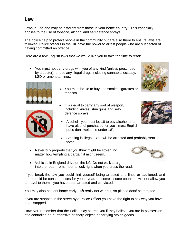### **Law**

Laws in England may be different from those in your home country. This especially applies to the use of tobacco, alcohol and self-defence sprays.

The police help to protect people in the community but are also there to ensure laws are followed. Police officers in the UK have the power to arrest people who are suspected of having committed an offence.

Here are a few English laws that we would like you to take the time to read**:**

· You must not carry drugs with you of any kind (unless prescribed by a doctor), or use any illegal drugs including cannabis, ecstasy, LSD or amphetamines.



- · You must be 18 to buy and smoke cigarettes or tobacco.
- It is illegal to carry any sort of weapon, including knives, stun guns and self defence sprays.
- · Alcohol you must be 18 to buy alcohol or to have alcohol purchased for you - most English pubs don't welcome under 18's.
- Stealing is illegal. You will be arrested and probably sent home.
- Never buy property that you think might be stolen, no matter how tempting a bargain it might seem.



· Vehicles in England drive on the left. Do not walk straight into the road - remember to look right when you cross the road.

If you break the law you could find yourself being arrested and fined or cautioned, and there could be consequences for you in years to come - some countries will not allow you to travel to them if you have been arrested and convicted.

You may also be sent home early. It foreally not worth it, so please dong be tempted.

If you are stopped in the street by a Police Officer you have the right to ask why you have been stopped.

However, remember that the Police may search you if they believe you are in possession of a controlled drug, offensive or sharp object, or carrying stolen goods.



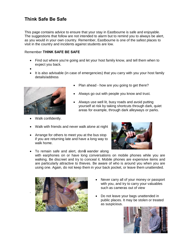## **Think Safe Be Safe**

This page contains advice to ensure that your stay in Eastbourne is safe and enjoyable. The suggestions that follow are not intended to alarm but to remind you to always be alert, as you would in your own country. Remember, Eastbourne is one of the safest places to visit in the country and incidents against students are low.

#### Remember **THINK SAFE BE SAFE**

• Find out where you're going and let your host family know, and tell them when to expect you back.

·

.

It is also advisable (in case of emergencies) that you carry with you your host family details/address



Walk confidently.

- - Always go out with people you know and trust.

Plan ahead - how are you going to get there?

- Always use well lit, busy roads and avoid putting yourself at risk by taking shortcuts through dark, quiet areas for example, through dark alleyways or parks.
- Walk with friends and never walk alone at night
- · Arrange for others to meet you at the bus stop if you are returning late and have a long way to walk home.



• To remain safe and alert, dond wander along with earphones on or have long conversations on mobile phones while you are walking. Be discreet and try to conceal it. Mobile phones are expensive items and are particularly attractive to thieves. Be aware of who is around you when you are using one. Again, do not keep them in your back pocket, or leave them unattended.



- Never carry all of your money or passport with you, and try to carry your valuables such as cameras out of view
- Do not leave your bags unattended in public places. It may be stolen or treated as suspicious.

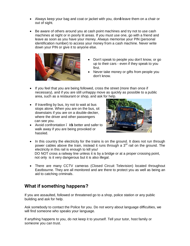- Always keep your bag and coat or jacket with you, dong leave them on a chair or out of sight.
- · Be aware of others around you at cash point machines and try not to use cash machines at night or in poorly lit areas. If you must use one, go with a friend and leave as soon as you have your money. Always memorise your PIN (personal identification number) to access your money from a cash machine. Never write down your PIN or give it to anyone else.



- · Don't speak to people you don't know, or go up to their cars - even if they speak to you first.
- Never take money or gifts from people you don't know.
- If you feel that you are being followed, cross the street (more than once if necessary), and if you are still unhappy move as quickly as possible to a public area, such as a restaurant or shop, and ask for help.
- · If travelling by bus, try not to wait at bus stops alone. When you are on the bus, sit downstairs if you are on a double-decker, where the driver and other passengers can see you.
- Avoid confrontation . its better and safer to walk away if you are being provoked or hassled.



- In this country the electricity for the trains is on the ground. It does not run through power cables above the train, instead it runs through a  $3<sup>rd</sup>$  rail on the ground. The electricity in this rail is enough to kill you! DO NOT cross a railway line unless it is by a bridge or at a proper crossing point, not only is it very dangerous but it is also illegal.
- · There are many CCTV cameras (Closed Circuit Television) located throughout Eastbourne. They are all monitored and are there to protect you as well as being an aid to catching criminals.

## **What if something happens?**

If you are assaulted, followed or threatened go to a shop, police station or any public building and ask for help.

Ask somebody to contact the Police for you. Do not worry about language difficulties, we will find someone who speaks your language.

If anything happens to you, do not keep it to yourself. Tell your tutor, host family or someone you can trust.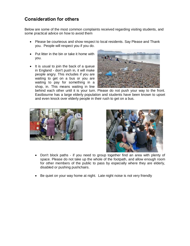## **Consideration for others**

Below are some of the most common complaints received regarding visiting students, and some practical advice on how to avoid them

- · Please be courteous and show respect to local residents. Say Please and Thank you. People will respect you if you do.
- · Put litter in the bin or take it home with you.
- It is usual to join the back of a queue in England - don't push in, it will make people angry. This includes if you are waiting to get on a bus or you are waiting to pay for something in a shop, in. This means waiting in line



behind each other until it is your turn. Please do not push your way to the front. Eastbourne has a large elderly population and students have been known to upset and even knock over elderly people in their rush to get on a bus.





- · Don't block paths if you need to group together find an area with plenty of space. Please do not take up the whole of the footpath, and allow enough room for other members of the public to pass by especially where they are elderly, disabled or pushing pushchairs.
- Be quiet on your way home at night. Late night noise is not very friendly